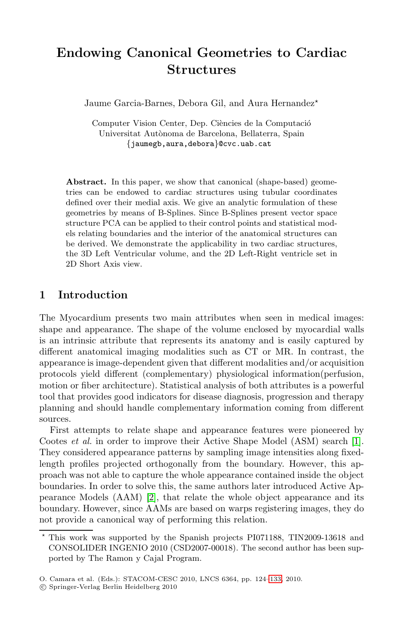# **Endowing Canonical Geometries to Cardiac Structures**

Jaume Garcia-Barnes, Debora Gil, and Aura Hernandez<sup>\*</sup>

Computer Vision Center, Dep. Ciències de la Computació Universitat Autònoma de Barcelona, Bellaterra, Spain *{*jaumegb,aura,debora*}*@cvc.uab.cat

Abstract. In this paper, we show that canonical (shape-based) geometries can be endowed to cardiac structures using tubular coordinates defined over their medial axis. We give an analytic formulation of these geometries by means of B-Splines. Since B-Splines present vector space structure PCA can be applied to their control points and statistical models relating boundaries and the interior of the anatomical structures can be derived. We demonstrate the applicability in two cardiac structures, the 3D Left Ventricular volume, and the 2D Left-Right ventricle set in 2D Short Axis view.

## **1 Introduction**

The Myocardium presents two main attributes when seen in medical images: shape and appearance. The shape of the volume enclosed by myocardial walls is an intrinsic attribute that represents its anatomy and is easily captured by different anatomical imaging modalities such as CT or [M](#page-9-0)R. In contrast, the appearance is image-dependent given that different modalities and/or acquisition protocols yield different (complementary) physiological information(perfusion, motion or fiber architecture). Statistical analysis of both attributes is a powerful tool that provides good indicators for disease diagnosis, progression and therapy plannin[g](#page-9-1) and should handle complementary information coming from different sources.

First attempts to relate shape and appearance features were pioneered by Cootes *et al.* in order to improve their Active Shape Model (ASM) search [1]. They considered appearance patterns by sampling image intensities along fixedlength profiles projected orthogonally from the boundary. However, this approach was not able to capture the whole appearance contained inside the object boundaries. In order to solve this, the same authors later introduced Active Appearance Models (AAM) [2], that r[elate](#page-9-2) the whole object appearance and its boundary. However, since AAMs are based on warps registering images, they do not provide a canonical way of performing this relation.

 $\star$  This work was supported by the Spanish projects PI071188, TIN2009-13618 and CONSOLIDER INGENIO 2010 (CSD2007-00018). The second author has been supported by The Ramon y Cajal Program.

O. Camara et al. (Eds.): STACOM-CESC 2010, LNCS 6364, pp. 124–133, 2010.

<sup>-</sup>c Springer-Verlag Berlin Heidelberg 2010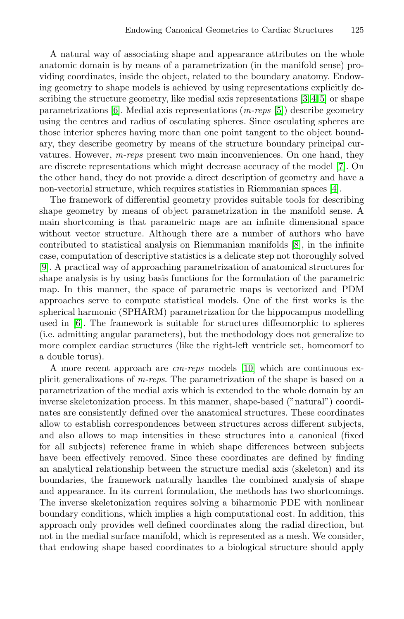A natural way of associating shape and appearance attributes on the whole anatomic domain is by means of a parametrization (in the manifold sense) providing coordinates, inside the object, related to the b[oun](#page-9-4)dary anatomy. Endowing geometry to shape models is achieved by using representations explicitly describing the structure geometry, like medial axis repr[ese](#page-9-5)ntations [3, 4, 5] or shape parametrizations [6]. Medial axis representations (*m-reps* [5]) describe geometry using the centres and radius of osculating spheres. Since osculating spheres are those interior spheres having more than one point tangent to the object boundary, they describe geometry by means of the structure boundary principal curvatures. However, *m-reps* present two mai[n i](#page-9-6)nconveniences. On one hand, they are discrete representations which might decrease accuracy of the model [7]. On the other hand, they do not provide a direct description of geometry and have a non-vectorial structure, which requires statistics in Riemmanian spaces [4].

The framework of differential geometry provides suitable tools for describing shape geometry by means of object parametrization in the manifold sense. A main shortcoming is that parametric maps are an infinite dimensional space without vector structure. Although there are a number of authors who have contributed to statistical analysis on Riemmanian manifolds [8], in the infinite case, computation of descriptive statistics is a delicate step not thoroughly solved [9]. A practical way of approaching parametrization of anatomical structures for shape analysis is by using basi[s fu](#page-9-7)nctions for the formulation of the parametric map. In this manner, the space of parametric maps is vectorized and PDM approaches serve to compute statistical models. One of the first works is the spherical harmonic (SPHARM) parametrization for the hippocampus modelling used in [6]. The framework is suitable for structures diffeomorphic to spheres (i.e. admitting angular parameters), but the methodology does not generalize to more complex cardiac structures (like the right-left ventricle set, homeomorf to a double torus).

A more recent approach are *cm-reps* models [10] which are continuous explicit generalizations of *m-reps*. The parametrization of the shape is based on a parametrization of the medial axis which is extended to the whole domain by an inverse skeletonization process. In this manner, shape-based ("natural") coordinates are consistently defined over the anatomical structures. These coordinates allow to establish correspondences between structures across different subjects, and also allows to map intensities in these structures into a canonical (fixed for all subjects) reference frame in which shape differences between subjects have been effectively removed. Since these coordinates are defined by finding an analytical relationship between the structure medial axis (skeleton) and its boundaries, the framework naturally handles the combined analysis of shape and appearance. In its current formulation, the methods has two shortcomings. The inverse skeletonization requires solving a biharmonic PDE with nonlinear boundary conditions, which implies a high computational cost. In addition, this approach only provides well defined coordinates along the radial direction, but not in the medial surface manifold, which is represented as a mesh. We consider, that endowing shape based coordinates to a biological structure should apply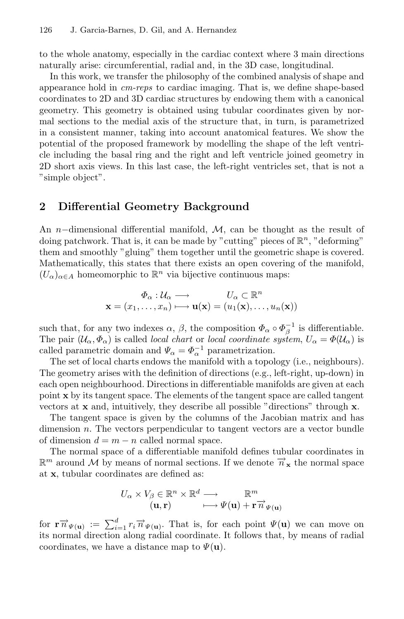to the whole anatomy, especially in the cardiac context where 3 main directions naturally arise: circumferential, radial and, in the 3D case, longitudinal.

In this work, we transfer the philosophy of the combined analysis of shape and appearance hold in *cm-reps* to cardiac imaging. That is, we define shape-based coordinates to 2D and 3D cardiac structures by endowing them with a canonical geometry. This geometry is obtained using tubular coordinates given by normal sections to the medial axis of the structure that, in turn, is parametrized in a consistent manner, taking into account anatomical features. We show the potential of the proposed framework by modelling the shape of the left ventricle including the basal ring and the right and left ventricle joined geometry in 2D short axis views. In this last case, the left-right ventricles set, that is not a "simple object".

#### **2 Differential Geometry Background**

An n−dimensional differential manifold,  $\mathcal{M}$ , can be thought as the result of doing patchwork. That is, it can be made by "cutting" pieces of  $\mathbb{R}^n$ , "deforming" them and smoothly "gluing" them together until the geometric shape is covered. Mathematically, this states that there exists an open covering of the manifold,  $(U_{\alpha})_{\alpha \in A}$  homeomorphic to  $\mathbb{R}^n$  via bijective continuous maps:

$$
\Phi_{\alpha}: \mathcal{U}_{\alpha} \longrightarrow U_{\alpha} \subset \mathbb{R}^{n}
$$

$$
\mathbf{x} = (x_1, \dots, x_n) \longmapsto \mathbf{u}(\mathbf{x}) = (u_1(\mathbf{x}), \dots, u_n(\mathbf{x}))
$$

such that, for any two indexes  $\alpha$ ,  $\beta$ , the composition  $\Phi_{\alpha} \circ \Phi_{\beta}^{-1}$  is differentiable. The pair  $(\mathcal{U}_{\alpha}, \Phi_{\alpha})$  is called *local chart* or *local coordinate system*,  $U_{\alpha} = \Phi(\mathcal{U}_{\alpha})$  is called parametric domain and  $\Psi_{\alpha} = \Phi_{\alpha}^{-1}$  parametrization.

The set of local charts endows the manifold with a topology (i.e., neighbours). The geometry arises with the definition of directions (e.g., left-right, up-down) in each open neighbourhood. Directions in differentiable manifolds are given at each point **x** by its tangent space. The elements of the tangent space are called tangent vectors at **x** and, intuitively, they describe all possible "directions" through **x**.

The tangent space is given by the columns of the Jacobian matrix and has dimension  $n$ . The vectors perpendicular to tangent vectors are a vector bundle of dimension  $d = m - n$  called normal space.

The normal space of a differentiable manifold defines tubular coordinates in  $\mathbb{R}^m$  around M by means of normal sections. If we denote  $\vec{n}_x$  the normal space at **x**, tubular coordinates are defined as:

$$
U_{\alpha} \times V_{\beta} \in \mathbb{R}^n \times \mathbb{R}^d \longrightarrow \mathbb{R}^m
$$
  

$$
(\mathbf{u}, \mathbf{r}) \qquad \longmapsto \Psi(\mathbf{u}) + \mathbf{r} \overrightarrow{n}_{\Psi(\mathbf{u})}
$$

for  $\mathbf{r} \overrightarrow{n}_{\Psi(\mathbf{u})} := \sum_{i=1}^d r_i \overrightarrow{n}_{\Psi(\mathbf{u})}$ . That is, for each point  $\Psi(\mathbf{u})$  we can move on its normal direction along radial coordinate. It follows that, by means of radial coordinates, we have a distance map to  $\Psi(\mathbf{u})$ .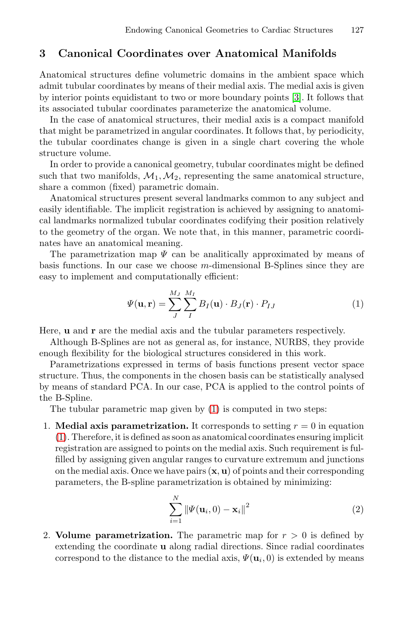# **3 Canonical Coordinates over Anatomical Manifolds**

Anatomical structures define volumetric domains in the ambient space which admit tubular coordinates by means of their medial axis. The medial axis is given by interior points equidistant to two or more boundary points [3]. It follows that its associated tubular coordinates parameterize the anatomical volume.

In the case of anatomical structures, their medial axis is a compact manifold that might be parametrized in angular coordinates. It follows that, by periodicity, the tubular coordinates change is given in a single chart covering the whole structure volume.

In order to provide a canonical geometry, tubular coordinates might be defined such that two manifolds,  $\mathcal{M}_1, \mathcal{M}_2$ , representing the same anatomical structure, share a common (fixed) parametric domain.

Anatomical structures present several landmarks common to any subject and easily identifiable. The implicit registration is achieved by assigning to anatomical landmarks normalized tubular coordinates codifying their position relatively to the geometry of the organ. We note that, in this manner, parametric coordinates have an anatomical meaning.

The parametrization map  $\Psi$  can be analitically approximated by means of basis functions. In our case we choose  $m$ -dimensional B-Splines since they are easy to implement and computationally efficient:

$$
\Psi(\mathbf{u}, \mathbf{r}) = \sum_{J}^{M_J} \sum_{I}^{M_I} B_I(\mathbf{u}) \cdot B_J(\mathbf{r}) \cdot P_{IJ}
$$
\n(1)

Here, **u** and **r** are the medial axis and the tubular parameters respectively.

Although B-Splines are not as general as, for instance, NURBS, they provide enough flexibility for the biological structures considered in this work.

Parametrizations expressed in terms of basis functions present vector space structure. Thus, the components in the chosen basis can be statistically analysed by means of standard PCA. In our case, PCA is applied to the control points of the B-Spline.

The tubular parametric map given by (1) is computed in two steps:

1. **Medial axis parametrization.** It corresponds to setting  $r = 0$  in equation (1). Therefore, it is defined as soon as anatomical coordinates ensuring implicit registration are assigned to points on the medial axis. Such requirement is fulfilled by assigning given angular ranges to curvature extremum and junctions on the medial axis. Once we have pairs (**x**, **u**) of points and their corresponding parameters, the B-spline parametrization is obtained by minimizing:

$$
\sum_{i=1}^{N} \|\Psi(\mathbf{u}_i,0) - \mathbf{x}_i\|^2
$$
 (2)

2. **Volume parametrization.** The parametric map for  $r > 0$  is defined by extending the coordinate **u** along radial directions. Since radial coordinates correspond to the distance to the medial axis,  $\Psi(\mathbf{u}_i, 0)$  is extended by means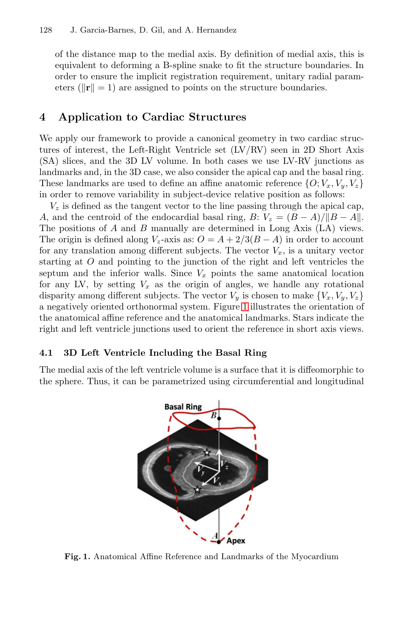#### 128 J. Garcia-Barnes, D. Gil, and A. Hernandez

of the distance map to the medial axis. By definition of medial axis, this is equivalent to deforming a B-spline snake to fit the structure boundaries. In order to ensure the implicit registration requirement, unitary radial parameters ( $\|\mathbf{r}\| = 1$ ) are assigned to points on the structure boundaries.

## **4 Application to Cardiac Structures**

We apply our framework to provide a canonical geometry in two cardiac structures of interest, the Left-Right Ventricle set (LV/RV) seen in 2D Short Axis (SA) slices, and the 3D LV volume. In both cases we use LV-RV junctions as landmarks and, in the 3D case, we also consider the apical cap and the basal ring. These landmarks are used to define an affine anatomic reference  $\{O; V_x, V_y, V_z\}$ in order to remove variability in subject-device relative position as follows:

 $V<sub>z</sub>$  is defined as the tangent vector to the line passing through the apical cap, A, and the centroid of the en[do](#page-4-0)cardial basal ring, B:  $V_z = (B - A)/||B - A||$ . The positions of A and B manually are determined in Long Axis (LA) views. The origin is defined along  $V_z$ -axis as:  $O = A + 2/3(B - A)$  in order to account for any translation among different subjects. The vector  $V_x$ , is a unitary vector starting at O and pointing to the junction of the right and left ventricles the septum and the inferior walls. Since  $V_x$  points the same anatomical location for any LV, by setting  $V_x$  as the origin of angles, we handle any rotational disparity among different subjects. The vector  $V_y$  is chosen to make  $\{V_x, V_y, V_z\}$ a negatively oriented orthonormal system. Figure 1 illustrates the orientation of the anatomical affine reference and the anatomical landmarks. Stars indicate the right and left ventricle junctions used to orient the reference in short axis views.

#### **4.1 3D Left Ventricle Including the Basal Ring**

The medial axis of the left ventricle volume is a surface that it is diffeomorphic to the sphere. Thus, it can be parametrized using circumferential and longitudinal



<span id="page-4-0"></span>**Fig. 1.** Anatomical Affine Reference and Landmarks of the Myocardium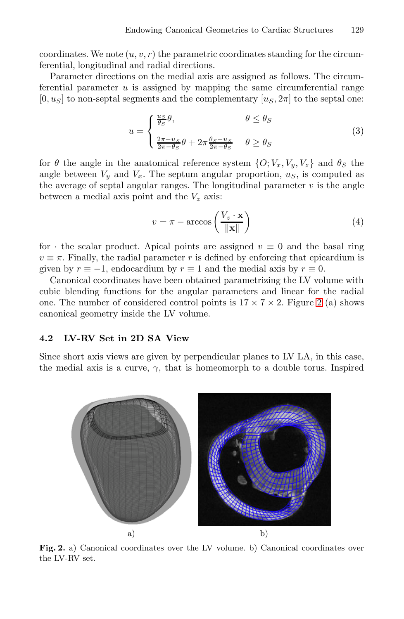coordinates. We note  $(u, v, r)$  the parametric coordinates standing for the circumferential, longitudinal and radial directions.

Parameter directions on the medial axis are assigned as follows. The circumferential parameter  $u$  is assigned by mapping the same circumferential range  $[0, u<sub>S</sub>]$  to non-septal segments and the complementary  $[u<sub>S</sub>, 2\pi]$  to the septal one:

$$
u = \begin{cases} \frac{u_S}{\theta_S} \theta, & \theta \le \theta_S \\ \frac{2\pi - u_S}{2\pi - \theta_S} \theta + 2\pi \frac{\theta_S - u_S}{2\pi - \theta_S} & \theta \ge \theta_S \end{cases}
$$
(3)

for  $\theta$  the angle in the anatomical reference system  $\{O; V_x, V_y, V_z\}$  and  $\theta_S$  the angle between  $V_y$  and  $V_x$ . The septum angular proportion,  $u_s$ , is computed as the average of septal angular ranges. The longitudinal parameter  $v$  is the angle between a medial axis point and the  $V_z$  axis:

$$
v = \pi - \arccos\left(\frac{V_z \cdot \mathbf{x}}{\|\mathbf{x}\|}\right) \tag{4}
$$

for  $\cdot$  the scalar product. Apical points are assigned  $v \equiv 0$  and the basal ring  $v \equiv \pi$ . Finally, the radial parameter r is defined by enforcing that epicardium is given by  $r \equiv -1$ , endocardium by  $r \equiv 1$  and the medial axis by  $r \equiv 0$ .

Canonical coordinates have been obtained parametrizing the LV volume with cubic blending functions for the angular parameters and linear for the radial one. The number of considered control points is  $17 \times 7 \times 2$ . Figure 2 (a) shows canonical geometry inside the LV volume.

#### **4.2 LV-RV Set in 2D SA View**

Since short axis views are given by perpendicular planes to LV LA, in this case, the medial axis is a curve,  $\gamma$ , that is homeomorph to a double torus. Inspired



<span id="page-5-0"></span>**Fig. 2.** a) Canonical coordinates over the LV volume. b) Canonical coordinates over the LV-RV set.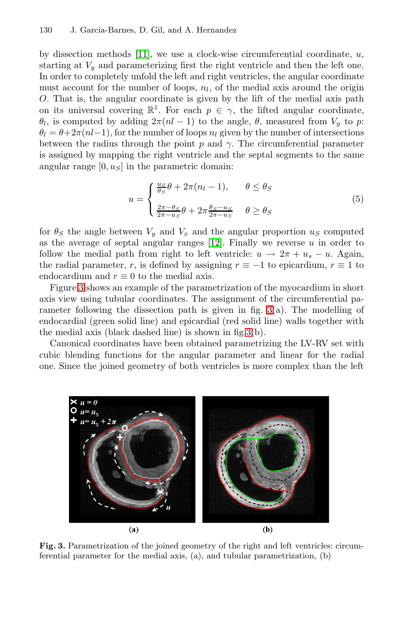#### 130 J. Garcia-Barnes, D. Gil, and A. Hernandez

by dissection methods [11], we use a clock-wise circumferential coordinate,  $u$ , starting at  $V_y$  and parameterizing first the right ventricle and then the left one. In order to completely unfold the left and right ventricles, the angular coordinate must account for the number of loops,  $n_l$ , of the medial axis around the origin O. That is, the angular coordinate is given by the lift of the medial axis path on its universal covering  $\mathbb{R}^1$ . For each  $p \in \gamma$ , the lifted angular coordinate,  $\theta_l$ , is computed by adding  $2\pi(nl-1)$  to the angle,  $\theta$ , measured from  $V_y$  to p:  $\theta_l = \theta + 2\pi(nl-1)$ , for the number of loops  $n_l$  given by the number of intersections between the radius through the point p and  $\gamma$ . The circumferential parameter is assigned by mappin[g th](#page-9-8)e right ventricle and the septal segments to the same angular range  $[0, u<sub>S</sub>]$  in the parametric domain:

$$
u = \begin{cases} \frac{u_S}{\theta_S} \theta + 2\pi (n_l - 1), & \theta \le \theta_S \\ \frac{2\pi - \theta_S}{2\pi - u_S} \theta + 2\pi \frac{\theta_S - u_S}{2\pi - u_S} & \theta \ge \theta_S \end{cases}
$$
(5)

for  $\theta_S$  $\theta_S$  $\theta_S$  the angle between  $V_y$  and  $V_x$  and the angular proportion  $u_S$  computed as the average of septal angul[ar](#page-6-0) ranges  $[12]$ . Finally we reverse u in order to follow the medial path from right to left ventricle:  $u \to 2\pi + u_s - u$ . Again, the radial parameter, r, is defined by assigning  $r \equiv -1$  to epicardium,  $r \equiv 1$  to endocardium and  $r \equiv 0$  to the medial axis.

Figure 3 shows an example of the parametrization of the myocardium in short axis view using tubular coordinates. The assignment of the circumferential parameter following the dissection path is given in fig. 3(a). The modelling of endocardial (green solid line) and epicardial (red solid line) walls together with the medial axis (black dashed line) is shown in fig.3(b).

Canonical coordinates have been obtained parametrizing the LV-RV set with cubic blending functions for the angular parameter and linear for the radial one. Since the joined geometry of both ventricles is more complex than the left

<span id="page-6-0"></span>

**Fig. 3.** Parametrization of the joined geometry of the right and left ventricles: circumferential parameter for the medial axis, (a), and tubular parametrization, (b)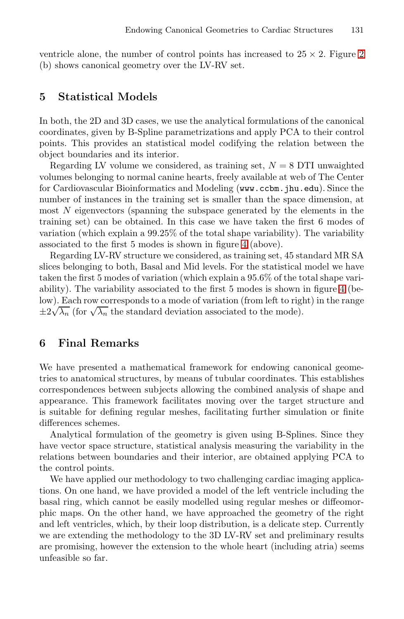ventricle alone, the number of control points has increased to  $25 \times 2$ . Figure 2 (b) shows canonical geometry over the LV-RV set.

#### **5 Statistical Models**

In both, the 2D and 3D cases, we use the analytical formulations of the canonical coordinates, given by B-Spline parametrizations and apply PCA to their control points. This provides an statistical model codifying the relation between the object boundaries and its inte[rio](#page-8-0)r.

Regarding LV volume we considered, as training set,  $N = 8$  DTI unwaighted volumes belonging to normal canine hearts, freely available at web of The Center for Cardiovascular Bioinformatics and Modeling (www.ccbm.jhu.edu). Since the number of instances in the training set is smaller tha[n t](#page-8-0)he space dimension, at most  $N$  eigenvectors (spanning the subspace generated by the elements in the training set) can be obtained. In this case we have taken the first 6 modes of variation (which explain a 99.25% of the total shape variability). The variability associated to the first 5 modes is shown in figure 4 (above).

Regarding LV-RV structure we considered, as training set, 45 standard MR SA slices belonging to both, Basal and Mid levels. For the statistical model we have taken the first 5 modes of variation (which explain a 95.6% of the total shape variability). The variability associated to the first 5 modes is shown in figure 4 (below). Each row corresponds to a mode of variation (from left to right) in the range  $\pm 2\sqrt{\lambda_n}$  (for  $\sqrt{\lambda_n}$  the standard deviation associated to the mode).

# **6 Final Remarks**

We have presented a mathematical framework for endowing canonical geometries to anatomical structures, by means of tubular coordinates. This establishes correspondences between subjects allowing the combined analysis of shape and appearance. This framework facilitates moving over the target structure and is suitable for defining regular meshes, facilitating further simulation or finite differences schemes.

Analytical formulation of the geometry is given using B-Splines. Since they have vector space structure, statistical analysis measuring the variability in the relations between boundaries and their interior, are obtained applying PCA to the control points.

We have applied our methodology to two challenging cardiac imaging applications. On one hand, we have provided a model of the left ventricle including the basal ring, which cannot be easily modelled using regular meshes or diffeomorphic maps. On the other hand, we have approached the geometry of the right and left ventricles, which, by their loop distribution, is a delicate step. Currently we are extending the methodology to the 3D LV-RV set and preliminary results are promising, however the extension to the whole heart (including atria) seems unfeasible so far.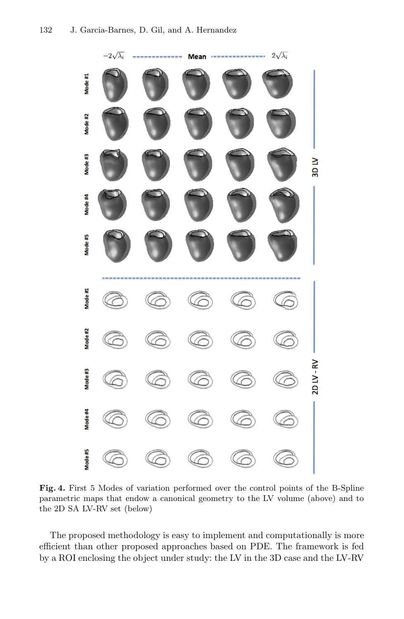

<span id="page-8-0"></span>**Fig. 4.** First 5 Modes of variation performed over the control points of the B-Spline parametric maps that endow a canonical geometry to the LV volume (above) and to the 2D SA LV-RV set (below)

The proposed methodology is easy to implement and computationally is more efficient than other proposed approaches based on PDE. The framework is fed by a ROI enclosing the object under study: the LV in the 3D case and the LV-RV